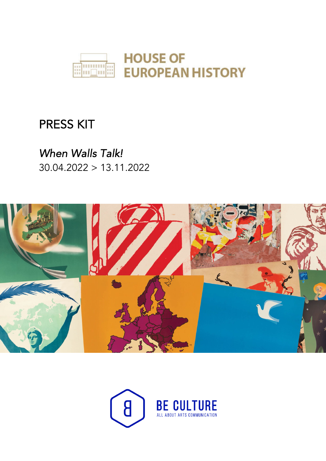

# PRESS KIT

## When Walls Talk! 30.04.2022 > 13.11.2022



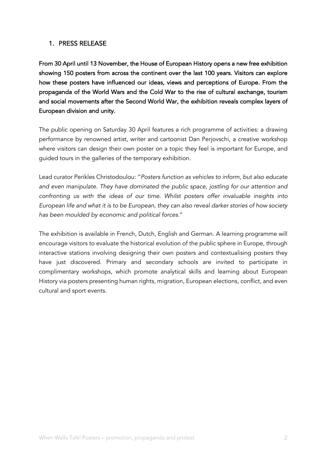#### 1. PRESS RELEASE

From 30 April until 13 November, the House of European History opens a new free exhibition showing 150 posters from across the continent over the last 100 years. Visitors can explore how these posters have influenced our ideas, views and perceptions of Europe. From the propaganda of the World Wars and the Cold War to the rise of cultural exchange, tourism and social movements after the Second World War, the exhibition reveals complex layers of European division and unity.

The public opening on Saturday 30 April features a rich programme of activities: a drawing performance by renowned artist, writer and cartoonist Dan Perjovschi, a creative workshop where visitors can design their own poster on a topic they feel is important for Europe, and guided tours in the galleries of the temporary exhibition.

Lead curator Perikles Christodoulou: "Posters function as vehicles to inform, but also educate and even manipulate. They have dominated the public space, jostling for our attention and confronting us with the ideas of our time. Whilst posters offer invaluable insights into European life and what it is to be European, they can also reveal darker stories of how society has been moulded by economic and political forces."

The exhibition is available in French, Dutch, English and German. A learning programme will encourage visitors to evaluate the historical evolution of the public sphere in Europe, through interactive stations involving designing their own posters and contextualising posters they have just discovered. Primary and secondary schools are invited to participate in complimentary workshops, which promote analytical skills and learning about European History via posters presenting human rights, migration, European elections, conflict, and even cultural and sport events.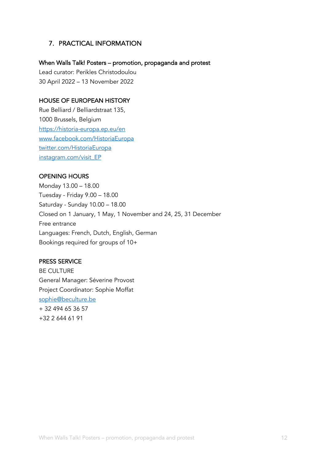### 7. PRACTICAL INFORMATION

#### When Walls Talk! Posters – promotion, propaganda and protest

Lead curator: Perikles Christodoulou 30 April 2022 – 13 November 2022

#### HOUSE OF EUROPEAN HISTORY

Rue Belliard / Belliardstraat 135, 1000 Brussels, Belgium https://historia-europa.ep.eu/en www.facebook.com/HistoriaEuropa twitter.com/HistoriaEuropa instagram.com/visit\_EP

#### OPENING HOURS

Monday 13.00 – 18.00 Tuesday - Friday 9.00 – 18.00 Saturday - Sunday 10.00 – 18.00 Closed on 1 January, 1 May, 1 November and 24, 25, 31 December Free entrance Languages: French, Dutch, English, German Bookings required for groups of 10+

#### PRESS SERVICE

BE CULTURE General Manager: Séverine Provost Project Coordinator: Sophie Moffat sophie@beculture.be + 32 494 65 36 57 +32 2 644 61 91